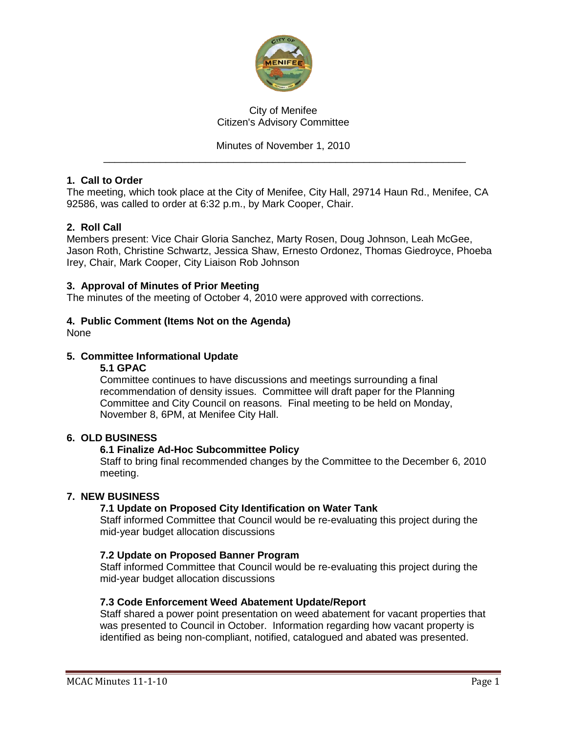

## City of Menifee Citizen's Advisory Committee

## Minutes of November 1, 2010

\_\_\_\_\_\_\_\_\_\_\_\_\_\_\_\_\_\_\_\_\_\_\_\_\_\_\_\_\_\_\_\_\_\_\_\_\_\_\_\_\_\_\_\_\_\_\_\_\_\_\_\_\_\_\_\_\_\_\_\_\_\_\_\_

### **1. Call to Order**

The meeting, which took place at the City of Menifee, City Hall, 29714 Haun Rd., Menifee, CA 92586, was called to order at 6:32 p.m., by Mark Cooper, Chair.

## **2. Roll Call**

Members present: Vice Chair Gloria Sanchez, Marty Rosen, Doug Johnson, Leah McGee, Jason Roth, Christine Schwartz, Jessica Shaw, Ernesto Ordonez, Thomas Giedroyce, Phoeba Irey, Chair, Mark Cooper, City Liaison Rob Johnson

#### **3. Approval of Minutes of Prior Meeting**

The minutes of the meeting of October 4, 2010 were approved with corrections.

#### **4. Public Comment (Items Not on the Agenda)**

None

## **5. Committee Informational Update**

#### **5.1 GPAC**

Committee continues to have discussions and meetings surrounding a final recommendation of density issues. Committee will draft paper for the Planning Committee and City Council on reasons. Final meeting to be held on Monday, November 8, 6PM, at Menifee City Hall.

#### **6. OLD BUSINESS**

#### **6.1 Finalize Ad-Hoc Subcommittee Policy**

Staff to bring final recommended changes by the Committee to the December 6, 2010 meeting.

#### **7. NEW BUSINESS**

#### **7.1 Update on Proposed City Identification on Water Tank**

Staff informed Committee that Council would be re-evaluating this project during the mid-year budget allocation discussions

#### **7.2 Update on Proposed Banner Program**

Staff informed Committee that Council would be re-evaluating this project during the mid-year budget allocation discussions

#### **7.3 Code Enforcement Weed Abatement Update/Report**

Staff shared a power point presentation on weed abatement for vacant properties that was presented to Council in October. Information regarding how vacant property is identified as being non-compliant, notified, catalogued and abated was presented.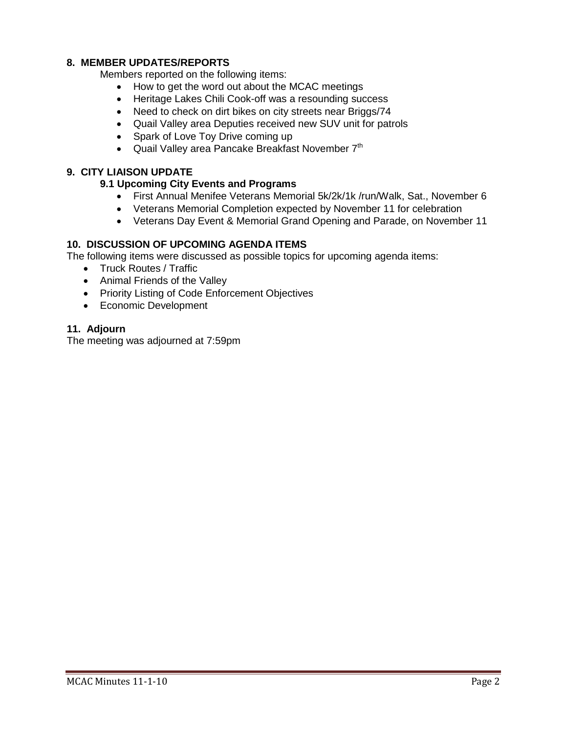## **8. MEMBER UPDATES/REPORTS**

Members reported on the following items:

- How to get the word out about the MCAC meetings
- Heritage Lakes Chili Cook-off was a resounding success
- Need to check on dirt bikes on city streets near Briggs/74
- Quail Valley area Deputies received new SUV unit for patrols
- Spark of Love Toy Drive coming up
- Quail Valley area Pancake Breakfast November  $7<sup>th</sup>$

## **9. CITY LIAISON UPDATE**

## **9.1 Upcoming City Events and Programs**

- First Annual Menifee Veterans Memorial 5k/2k/1k /run/Walk, Sat., November 6
- Veterans Memorial Completion expected by November 11 for celebration
- Veterans Day Event & Memorial Grand Opening and Parade, on November 11

#### **10. DISCUSSION OF UPCOMING AGENDA ITEMS**

The following items were discussed as possible topics for upcoming agenda items:

- Truck Routes / Traffic
- Animal Friends of the Valley
- Priority Listing of Code Enforcement Objectives
- Economic Development

#### **11. Adjourn**

The meeting was adjourned at 7:59pm